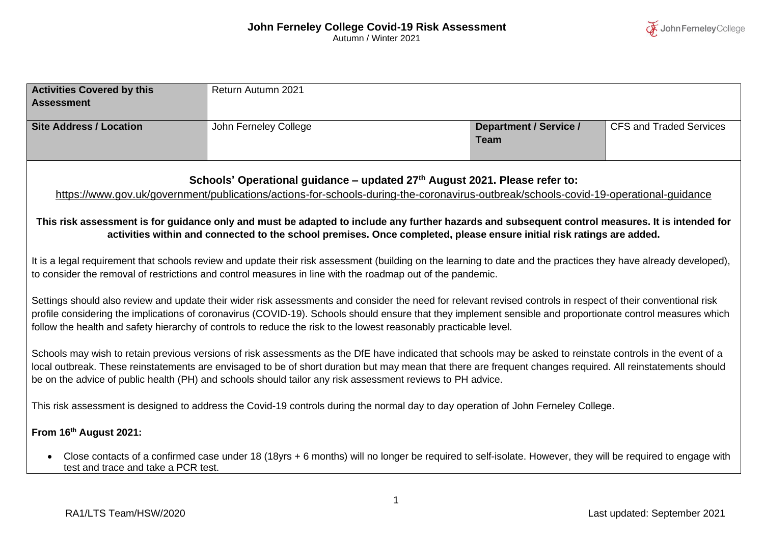| <b>Activities Covered by this</b>   | Return Autumn 2021                                                                                                                                               |                               |                                |
|-------------------------------------|------------------------------------------------------------------------------------------------------------------------------------------------------------------|-------------------------------|--------------------------------|
| <b>Assessment</b>                   |                                                                                                                                                                  |                               |                                |
|                                     |                                                                                                                                                                  |                               |                                |
| <b>Site Address / Location</b>      | John Ferneley College                                                                                                                                            | <b>Department / Service /</b> | <b>CFS and Traded Services</b> |
|                                     |                                                                                                                                                                  | <b>Team</b>                   |                                |
|                                     |                                                                                                                                                                  |                               |                                |
|                                     |                                                                                                                                                                  |                               |                                |
|                                     | Schools' Operational guidance - updated 27th August 2021. Please refer to:                                                                                       |                               |                                |
|                                     | https://www.gov.uk/government/publications/actions-for-schools-during-the-coronavirus-outbreak/schools-covid-19-operational-guidance                             |                               |                                |
|                                     |                                                                                                                                                                  |                               |                                |
|                                     | This risk assessment is for guidance only and must be adapted to include any further hazards and subsequent control measures. It is intended for                 |                               |                                |
|                                     | activities within and connected to the school premises. Once completed, please ensure initial risk ratings are added.                                            |                               |                                |
|                                     |                                                                                                                                                                  |                               |                                |
|                                     |                                                                                                                                                                  |                               |                                |
|                                     | It is a legal requirement that schools review and update their risk assessment (building on the learning to date and the practices they have already developed), |                               |                                |
|                                     | to consider the removal of restrictions and control measures in line with the roadmap out of the pandemic.                                                       |                               |                                |
|                                     |                                                                                                                                                                  |                               |                                |
|                                     | Settings should also review and update their wider risk assessments and consider the need for relevant revised controls in respect of their conventional risk    |                               |                                |
|                                     | profile considering the implications of coronavirus (COVID-19). Schools should ensure that they implement sensible and proportionate control measures which      |                               |                                |
|                                     | follow the health and safety hierarchy of controls to reduce the risk to the lowest reasonably practicable level.                                                |                               |                                |
|                                     |                                                                                                                                                                  |                               |                                |
|                                     | Schools may wish to retain previous versions of risk assessments as the DfE have indicated that schools may be asked to reinstate controls in the event of a     |                               |                                |
|                                     | local outbreak. These reinstatements are envisaged to be of short duration but may mean that there are frequent changes required. All reinstatements should      |                               |                                |
|                                     | be on the advice of public health (PH) and schools should tailor any risk assessment reviews to PH advice.                                                       |                               |                                |
|                                     |                                                                                                                                                                  |                               |                                |
|                                     | This risk assessment is designed to address the Covid-19 controls during the normal day to day operation of John Ferneley College.                               |                               |                                |
|                                     |                                                                                                                                                                  |                               |                                |
| From 16th August 2021:              |                                                                                                                                                                  |                               |                                |
| $\bullet$                           | Close contacts of a confirmed case under 18 (18yrs + 6 months) will no longer be required to self-isolate. However, they will be required to engage with         |                               |                                |
| test and trace and take a PCR test. |                                                                                                                                                                  |                               |                                |
|                                     |                                                                                                                                                                  |                               |                                |
|                                     |                                                                                                                                                                  |                               |                                |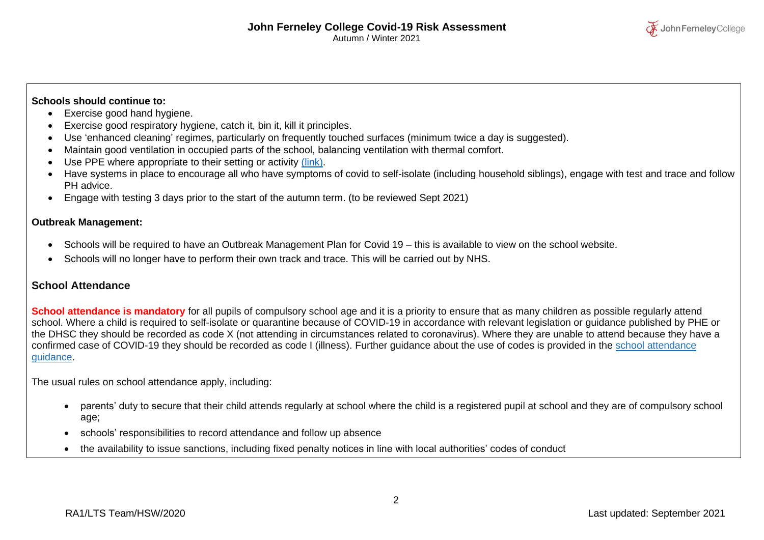

### **Schools should continue to:**

- Exercise good hand hygiene.
- Exercise good respiratory hygiene, catch it, bin it, kill it principles.
- Use 'enhanced cleaning' regimes, particularly on frequently touched surfaces (minimum twice a day is suggested).
- Maintain good ventilation in occupied parts of the school, balancing ventilation with thermal comfort.
- Use PPE where appropriate to their setting or activity [\(link\).](https://www.gov.uk/government/publications/safe-working-in-education-childcare-and-childrens-social-care/safe-working-in-education-childcare-and-childrens-social-care-settings-including-the-use-of-personal-protective-equipment-ppe)
- Have systems in place to encourage all who have symptoms of covid to self-isolate (including household siblings), engage with test and trace and follow PH advice.
- Engage with testing 3 days prior to the start of the autumn term. (to be reviewed Sept 2021)

#### **Outbreak Management:**

- Schools will be required to have an Outbreak Management Plan for Covid 19 this is available to view on the school website.
- Schools will no longer have to perform their own track and trace. This will be carried out by NHS.

### **School Attendance**

**School attendance is mandatory** for all pupils of compulsory school age and it is a priority to ensure that as many children as possible regularly attend school. Where a child is required to self-isolate or quarantine because of COVID-19 in accordance with relevant legislation or guidance published by PHE or the DHSC they should be recorded as code X (not attending in circumstances related to coronavirus). Where they are unable to attend because they have a confirmed case of COVID-19 they should be recorded as code I (illness). Further guidance about the use of codes is provided in the school [attendance](https://www.gov.uk/government/publications/school-attendance) [guidance.](https://www.gov.uk/government/publications/school-attendance)

The usual rules on school attendance apply, including:

• parents' duty to secure that their child attends regularly at school where the child is a registered pupil at school and they are of compulsory school age;

2

- schools' responsibilities to record attendance and follow up absence
- the availability to issue sanctions, including fixed penalty notices in line with local authorities' codes of conduct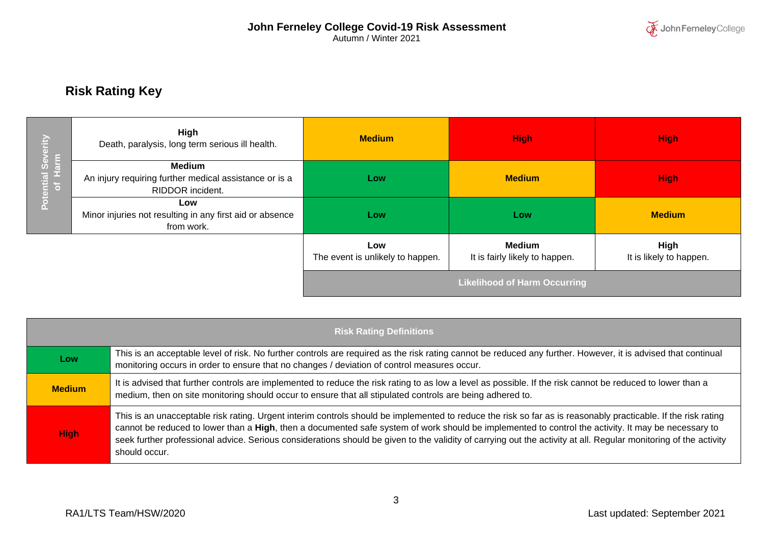

# **Risk Rating Key**

|                    | High<br>Death, paralysis, long term serious ill health.                                     | <b>Medium</b>                           | <b>High</b>                                     | <b>High</b>                            |
|--------------------|---------------------------------------------------------------------------------------------|-----------------------------------------|-------------------------------------------------|----------------------------------------|
| Potential Severity | <b>Medium</b><br>An injury requiring further medical assistance or is a<br>RIDDOR incident. | Low                                     | <b>Medium</b>                                   | <b>High</b>                            |
|                    | Low<br>Minor injuries not resulting in any first aid or absence<br>from work.               | Low                                     | Low                                             | <b>Medium</b>                          |
|                    |                                                                                             | Low<br>The event is unlikely to happen. | <b>Medium</b><br>It is fairly likely to happen. | <b>High</b><br>It is likely to happen. |
|                    |                                                                                             |                                         | <b>Likelihood of Harm Occurring</b>             |                                        |

|               | <b>Risk Rating Definitions</b>                                                                                                                                                                                                                                                                                                                                                                                                                                                                            |
|---------------|-----------------------------------------------------------------------------------------------------------------------------------------------------------------------------------------------------------------------------------------------------------------------------------------------------------------------------------------------------------------------------------------------------------------------------------------------------------------------------------------------------------|
| Low           | This is an acceptable level of risk. No further controls are required as the risk rating cannot be reduced any further. However, it is advised that continual<br>monitoring occurs in order to ensure that no changes / deviation of control measures occur.                                                                                                                                                                                                                                              |
| <b>Medium</b> | It is advised that further controls are implemented to reduce the risk rating to as low a level as possible. If the risk cannot be reduced to lower than a<br>medium, then on site monitoring should occur to ensure that all stipulated controls are being adhered to.                                                                                                                                                                                                                                   |
| <b>High</b>   | This is an unacceptable risk rating. Urgent interim controls should be implemented to reduce the risk so far as is reasonably practicable. If the risk rating<br>cannot be reduced to lower than a High, then a documented safe system of work should be implemented to control the activity. It may be necessary to<br>seek further professional advice. Serious considerations should be given to the validity of carrying out the activity at all. Regular monitoring of the activity<br>should occur. |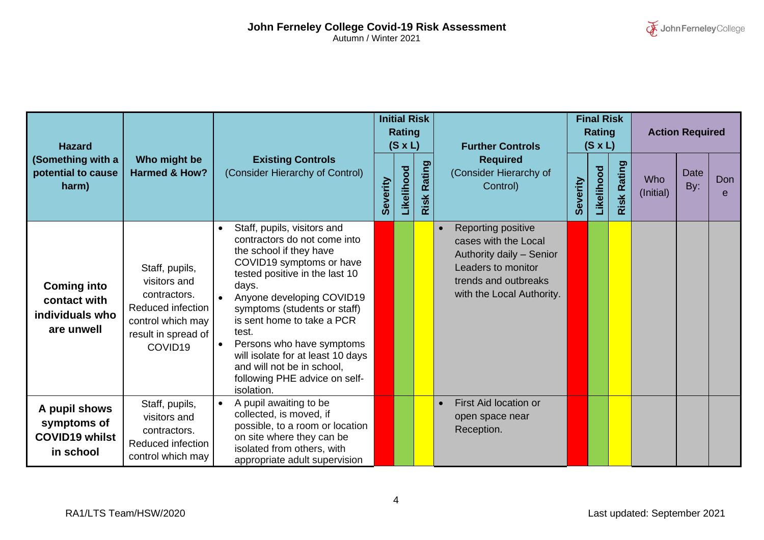| <b>Hazard</b>                                                       |                                                                                                                                        |                                                                                                                                                                                                                                                                                                                                                                                                                  |          | <b>Initial Risk</b><br><b>Rating</b><br>$(S \times L)$ |                       | <b>Further Controls</b>                                                                                                                                        | <b>Final Risk</b><br><b>Rating</b><br>$(S \times L)$ |            |                    | <b>Action Required</b>  |                    |          |
|---------------------------------------------------------------------|----------------------------------------------------------------------------------------------------------------------------------------|------------------------------------------------------------------------------------------------------------------------------------------------------------------------------------------------------------------------------------------------------------------------------------------------------------------------------------------------------------------------------------------------------------------|----------|--------------------------------------------------------|-----------------------|----------------------------------------------------------------------------------------------------------------------------------------------------------------|------------------------------------------------------|------------|--------------------|-------------------------|--------------------|----------|
| (Something with a<br>potential to cause<br>harm)                    | Who might be<br><b>Harmed &amp; How?</b>                                                                                               | <b>Existing Controls</b><br>(Consider Hierarchy of Control)                                                                                                                                                                                                                                                                                                                                                      | Severity | Likelihood                                             | <b>Rating</b><br>Risk | <b>Required</b><br>(Consider Hierarchy of<br>Control)                                                                                                          | Severity                                             | Likelihood | <b>Risk Rating</b> | <b>Who</b><br>(Initial) | <b>Date</b><br>By: | Don<br>e |
| <b>Coming into</b><br>contact with<br>individuals who<br>are unwell | Staff, pupils,<br>visitors and<br>contractors.<br>Reduced infection<br>control which may<br>result in spread of<br>COVID <sub>19</sub> | Staff, pupils, visitors and<br>contractors do not come into<br>the school if they have<br>COVID19 symptoms or have<br>tested positive in the last 10<br>days.<br>Anyone developing COVID19<br>symptoms (students or staff)<br>is sent home to take a PCR<br>test.<br>Persons who have symptoms<br>will isolate for at least 10 days<br>and will not be in school,<br>following PHE advice on self-<br>isolation. |          |                                                        |                       | Reporting positive<br>$\bullet$<br>cases with the Local<br>Authority daily - Senior<br>Leaders to monitor<br>trends and outbreaks<br>with the Local Authority. |                                                      |            |                    |                         |                    |          |
| A pupil shows<br>symptoms of<br><b>COVID19 whilst</b><br>in school  | Staff, pupils,<br>visitors and<br>contractors.<br>Reduced infection<br>control which may                                               | A pupil awaiting to be<br>$\bullet$<br>collected, is moved, if<br>possible, to a room or location<br>on site where they can be<br>isolated from others, with<br>appropriate adult supervision                                                                                                                                                                                                                    |          |                                                        |                       | First Aid location or<br>$\bullet$<br>open space near<br>Reception.                                                                                            |                                                      |            |                    |                         |                    |          |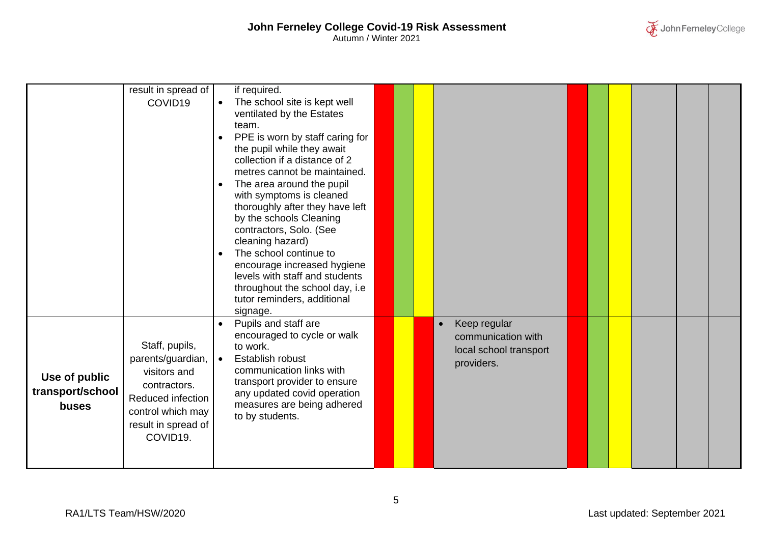|                                            | result in spread of<br>COVID19                                                                                                                   | if required.<br>The school site is kept well<br>$\bullet$<br>ventilated by the Estates<br>team.<br>PPE is worn by staff caring for<br>$\bullet$<br>the pupil while they await<br>collection if a distance of 2<br>metres cannot be maintained.<br>The area around the pupil<br>$\bullet$<br>with symptoms is cleaned<br>thoroughly after they have left<br>by the schools Cleaning<br>contractors, Solo. (See<br>cleaning hazard)<br>The school continue to<br>$\bullet$<br>encourage increased hygiene<br>levels with staff and students<br>throughout the school day, i.e<br>tutor reminders, additional |  |                                                                                         |  |  |  |
|--------------------------------------------|--------------------------------------------------------------------------------------------------------------------------------------------------|------------------------------------------------------------------------------------------------------------------------------------------------------------------------------------------------------------------------------------------------------------------------------------------------------------------------------------------------------------------------------------------------------------------------------------------------------------------------------------------------------------------------------------------------------------------------------------------------------------|--|-----------------------------------------------------------------------------------------|--|--|--|
| Use of public<br>transport/school<br>buses | Staff, pupils,<br>parents/guardian,<br>visitors and<br>contractors.<br>Reduced infection<br>control which may<br>result in spread of<br>COVID19. | signage.<br>Pupils and staff are<br>encouraged to cycle or walk<br>to work.<br>Establish robust<br>$\bullet$<br>communication links with<br>transport provider to ensure<br>any updated covid operation<br>measures are being adhered<br>to by students.                                                                                                                                                                                                                                                                                                                                                   |  | Keep regular<br>$\bullet$<br>communication with<br>local school transport<br>providers. |  |  |  |

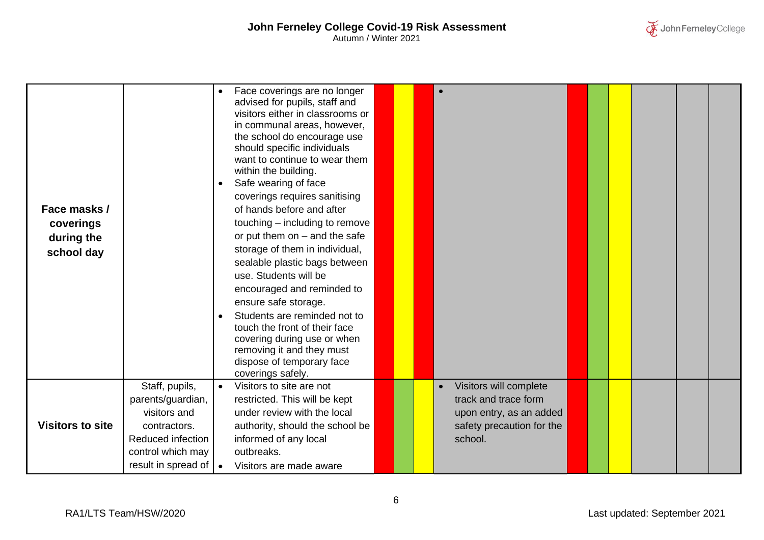| Face masks /<br>coverings<br>during the<br>school day |                                                                                                               | Face coverings are no longer<br>advised for pupils, staff and<br>visitors either in classrooms or<br>in communal areas, however,<br>the school do encourage use<br>should specific individuals<br>want to continue to wear them<br>within the building.<br>Safe wearing of face<br>$\bullet$<br>coverings requires sanitising<br>of hands before and after<br>touching – including to remove<br>or put them on $-$ and the safe<br>storage of them in individual,<br>sealable plastic bags between<br>use. Students will be<br>encouraged and reminded to<br>ensure safe storage.<br>Students are reminded not to<br>$\bullet$<br>touch the front of their face<br>covering during use or when<br>removing it and they must<br>dispose of temporary face |  |                                                                                                                   |  |  |  |
|-------------------------------------------------------|---------------------------------------------------------------------------------------------------------------|----------------------------------------------------------------------------------------------------------------------------------------------------------------------------------------------------------------------------------------------------------------------------------------------------------------------------------------------------------------------------------------------------------------------------------------------------------------------------------------------------------------------------------------------------------------------------------------------------------------------------------------------------------------------------------------------------------------------------------------------------------|--|-------------------------------------------------------------------------------------------------------------------|--|--|--|
|                                                       |                                                                                                               | coverings safely.                                                                                                                                                                                                                                                                                                                                                                                                                                                                                                                                                                                                                                                                                                                                        |  |                                                                                                                   |  |  |  |
| <b>Visitors to site</b>                               | Staff, pupils,<br>parents/guardian,<br>visitors and<br>contractors.<br>Reduced infection<br>control which may | Visitors to site are not<br>$\bullet$<br>restricted. This will be kept<br>under review with the local<br>authority, should the school be<br>informed of any local<br>outbreaks.                                                                                                                                                                                                                                                                                                                                                                                                                                                                                                                                                                          |  | Visitors will complete<br>track and trace form<br>upon entry, as an added<br>safety precaution for the<br>school. |  |  |  |
|                                                       | result in spread of   •                                                                                       | Visitors are made aware                                                                                                                                                                                                                                                                                                                                                                                                                                                                                                                                                                                                                                                                                                                                  |  |                                                                                                                   |  |  |  |

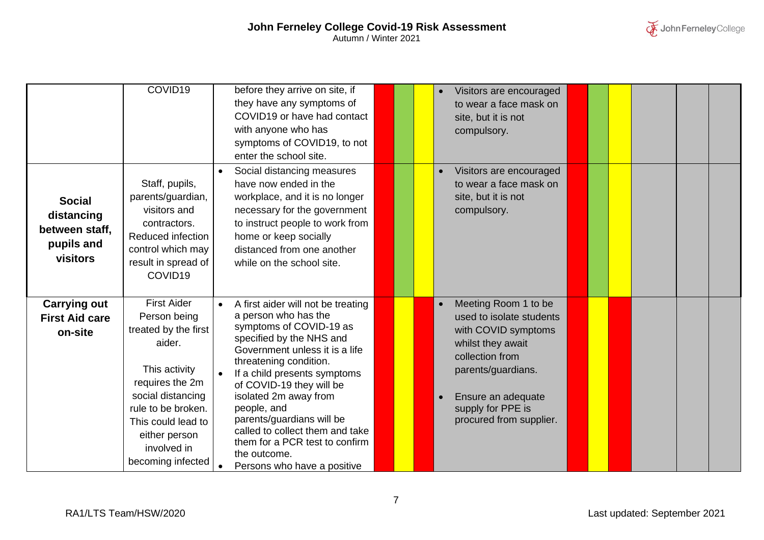## **John Ferneley College Covid-19 Risk Assessment** Autumn / Winter 2021

|                                                                         | COVID19                                                                                                                                                                                                                        | before they arrive on site, if<br>they have any symptoms of<br>COVID19 or have had contact<br>with anyone who has<br>symptoms of COVID19, to not<br>enter the school site.                                                                                                                                                                                                                                                         |  | Visitors are encouraged<br>to wear a face mask on<br>site, but it is not<br>compulsory.                                                                                                                     |  |  |  |
|-------------------------------------------------------------------------|--------------------------------------------------------------------------------------------------------------------------------------------------------------------------------------------------------------------------------|------------------------------------------------------------------------------------------------------------------------------------------------------------------------------------------------------------------------------------------------------------------------------------------------------------------------------------------------------------------------------------------------------------------------------------|--|-------------------------------------------------------------------------------------------------------------------------------------------------------------------------------------------------------------|--|--|--|
| <b>Social</b><br>distancing<br>between staff,<br>pupils and<br>visitors | Staff, pupils,<br>parents/guardian,<br>visitors and<br>contractors.<br>Reduced infection<br>control which may<br>result in spread of<br>COVID <sub>19</sub>                                                                    | Social distancing measures<br>have now ended in the<br>workplace, and it is no longer<br>necessary for the government<br>to instruct people to work from<br>home or keep socially<br>distanced from one another<br>while on the school site.                                                                                                                                                                                       |  | Visitors are encouraged<br>to wear a face mask on<br>site, but it is not<br>compulsory.                                                                                                                     |  |  |  |
| <b>Carrying out</b><br><b>First Aid care</b><br>on-site                 | <b>First Aider</b><br>Person being<br>treated by the first<br>aider.<br>This activity<br>requires the 2m<br>social distancing<br>rule to be broken.<br>This could lead to<br>either person<br>involved in<br>becoming infected | A first aider will not be treating<br>a person who has the<br>symptoms of COVID-19 as<br>specified by the NHS and<br>Government unless it is a life<br>threatening condition.<br>If a child presents symptoms<br>of COVID-19 they will be<br>isolated 2m away from<br>people, and<br>parents/guardians will be<br>called to collect them and take<br>them for a PCR test to confirm<br>the outcome.<br>Persons who have a positive |  | Meeting Room 1 to be<br>used to isolate students<br>with COVID symptoms<br>whilst they await<br>collection from<br>parents/guardians.<br>Ensure an adequate<br>supply for PPE is<br>procured from supplier. |  |  |  |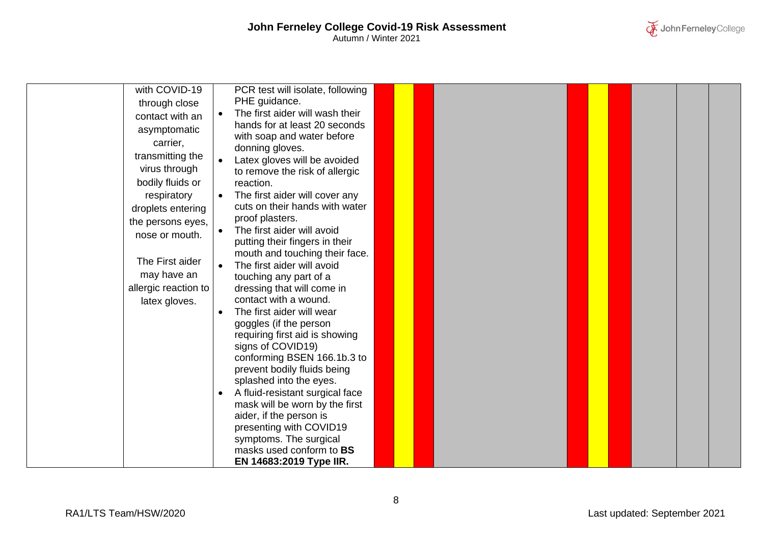| with COVID-19<br>through close<br>contact with an<br>asymptomatic<br>carrier,<br>transmitting the<br>virus through<br>bodily fluids or<br>respiratory<br>droplets entering<br>the persons eyes,<br>nose or mouth.<br>The First aider<br>may have an<br>allergic reaction to<br>latex gloves. | PCR test will isolate, following<br>PHE guidance.<br>The first aider will wash their<br>hands for at least 20 seconds<br>with soap and water before<br>donning gloves.<br>Latex gloves will be avoided<br>$\bullet$<br>to remove the risk of allergic<br>reaction.<br>The first aider will cover any<br>cuts on their hands with water<br>proof plasters.<br>The first aider will avoid<br>putting their fingers in their<br>mouth and touching their face.<br>The first aider will avoid<br>$\bullet$<br>touching any part of a<br>dressing that will come in<br>contact with a wound.<br>The first aider will wear<br>$\bullet$<br>goggles (if the person<br>requiring first aid is showing<br>signs of COVID19)<br>conforming BSEN 166.1b.3 to |
|----------------------------------------------------------------------------------------------------------------------------------------------------------------------------------------------------------------------------------------------------------------------------------------------|---------------------------------------------------------------------------------------------------------------------------------------------------------------------------------------------------------------------------------------------------------------------------------------------------------------------------------------------------------------------------------------------------------------------------------------------------------------------------------------------------------------------------------------------------------------------------------------------------------------------------------------------------------------------------------------------------------------------------------------------------|
|                                                                                                                                                                                                                                                                                              |                                                                                                                                                                                                                                                                                                                                                                                                                                                                                                                                                                                                                                                                                                                                                   |
|                                                                                                                                                                                                                                                                                              |                                                                                                                                                                                                                                                                                                                                                                                                                                                                                                                                                                                                                                                                                                                                                   |
|                                                                                                                                                                                                                                                                                              |                                                                                                                                                                                                                                                                                                                                                                                                                                                                                                                                                                                                                                                                                                                                                   |
|                                                                                                                                                                                                                                                                                              | prevent bodily fluids being<br>splashed into the eyes.                                                                                                                                                                                                                                                                                                                                                                                                                                                                                                                                                                                                                                                                                            |
|                                                                                                                                                                                                                                                                                              | A fluid-resistant surgical face<br>$\bullet$                                                                                                                                                                                                                                                                                                                                                                                                                                                                                                                                                                                                                                                                                                      |
|                                                                                                                                                                                                                                                                                              | mask will be worn by the first                                                                                                                                                                                                                                                                                                                                                                                                                                                                                                                                                                                                                                                                                                                    |
|                                                                                                                                                                                                                                                                                              | aider, if the person is<br>presenting with COVID19                                                                                                                                                                                                                                                                                                                                                                                                                                                                                                                                                                                                                                                                                                |
|                                                                                                                                                                                                                                                                                              | symptoms. The surgical                                                                                                                                                                                                                                                                                                                                                                                                                                                                                                                                                                                                                                                                                                                            |
|                                                                                                                                                                                                                                                                                              | masks used conform to BS<br>EN 14683:2019 Type IIR.                                                                                                                                                                                                                                                                                                                                                                                                                                                                                                                                                                                                                                                                                               |

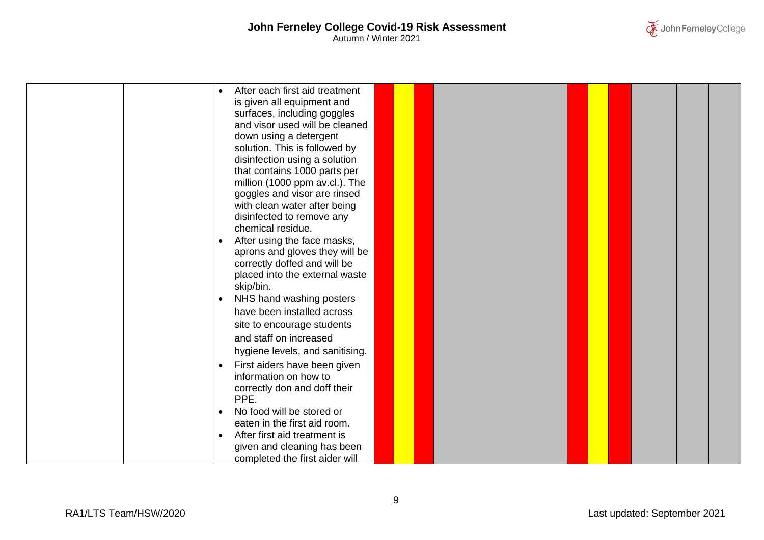

|  | After each first aid treatment<br>is given all equipment and |  |  |  |  |  |
|--|--------------------------------------------------------------|--|--|--|--|--|
|  | surfaces, including goggles                                  |  |  |  |  |  |
|  | and visor used will be cleaned                               |  |  |  |  |  |
|  | down using a detergent                                       |  |  |  |  |  |
|  | solution. This is followed by                                |  |  |  |  |  |
|  | disinfection using a solution                                |  |  |  |  |  |
|  | that contains 1000 parts per                                 |  |  |  |  |  |
|  | million (1000 ppm av.cl.). The                               |  |  |  |  |  |
|  | goggles and visor are rinsed<br>with clean water after being |  |  |  |  |  |
|  | disinfected to remove any                                    |  |  |  |  |  |
|  | chemical residue.                                            |  |  |  |  |  |
|  | After using the face masks,<br>$\bullet$                     |  |  |  |  |  |
|  | aprons and gloves they will be                               |  |  |  |  |  |
|  | correctly doffed and will be                                 |  |  |  |  |  |
|  | placed into the external waste                               |  |  |  |  |  |
|  | skip/bin.                                                    |  |  |  |  |  |
|  | NHS hand washing posters<br>$\bullet$                        |  |  |  |  |  |
|  | have been installed across                                   |  |  |  |  |  |
|  | site to encourage students                                   |  |  |  |  |  |
|  | and staff on increased                                       |  |  |  |  |  |
|  | hygiene levels, and sanitising.                              |  |  |  |  |  |
|  | First aiders have been given<br>$\bullet$                    |  |  |  |  |  |
|  | information on how to                                        |  |  |  |  |  |
|  | correctly don and doff their<br>PPE.                         |  |  |  |  |  |
|  | No food will be stored or<br>$\bullet$                       |  |  |  |  |  |
|  | eaten in the first aid room.                                 |  |  |  |  |  |
|  | After first aid treatment is<br>$\bullet$                    |  |  |  |  |  |
|  | given and cleaning has been                                  |  |  |  |  |  |
|  | completed the first aider will                               |  |  |  |  |  |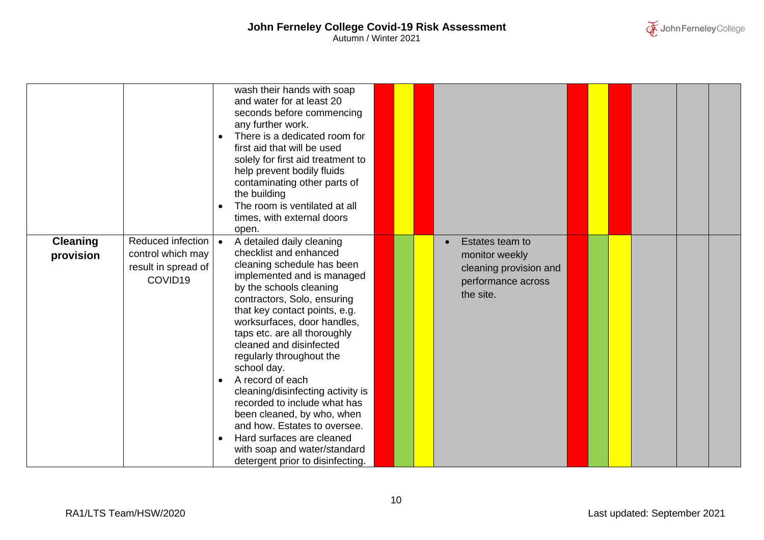

|                              |                                                                          | wash their hands with soap<br>and water for at least 20<br>seconds before commencing<br>any further work.<br>There is a dedicated room for<br>$\bullet$<br>first aid that will be used<br>solely for first aid treatment to<br>help prevent bodily fluids<br>contaminating other parts of<br>the building<br>The room is ventilated at all<br>$\bullet$<br>times, with external doors<br>open.                                                                                                                                                                                                                                                 |  |                                                                                                |
|------------------------------|--------------------------------------------------------------------------|------------------------------------------------------------------------------------------------------------------------------------------------------------------------------------------------------------------------------------------------------------------------------------------------------------------------------------------------------------------------------------------------------------------------------------------------------------------------------------------------------------------------------------------------------------------------------------------------------------------------------------------------|--|------------------------------------------------------------------------------------------------|
| <b>Cleaning</b><br>provision | Reduced infection<br>control which may<br>result in spread of<br>COVID19 | $\bullet$<br>A detailed daily cleaning<br>checklist and enhanced<br>cleaning schedule has been<br>implemented and is managed<br>by the schools cleaning<br>contractors, Solo, ensuring<br>that key contact points, e.g.<br>worksurfaces, door handles,<br>taps etc. are all thoroughly<br>cleaned and disinfected<br>regularly throughout the<br>school day.<br>A record of each<br>$\bullet$<br>cleaning/disinfecting activity is<br>recorded to include what has<br>been cleaned, by who, when<br>and how. Estates to oversee.<br>Hard surfaces are cleaned<br>$\bullet$<br>with soap and water/standard<br>detergent prior to disinfecting. |  | Estates team to<br>monitor weekly<br>cleaning provision and<br>performance across<br>the site. |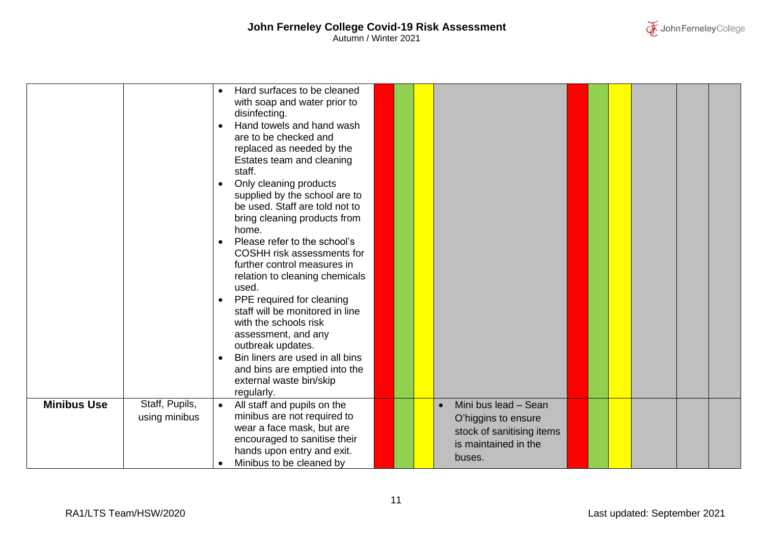

|                    |                | Hard surfaces to be cleaned<br>$\bullet$<br>with soap and water prior to<br>disinfecting.<br>Hand towels and hand wash<br>are to be checked and<br>replaced as needed by the<br>Estates team and cleaning<br>staff.<br>Only cleaning products<br>$\bullet$<br>supplied by the school are to<br>be used. Staff are told not to<br>bring cleaning products from<br>home.<br>Please refer to the school's<br>$\bullet$<br>COSHH risk assessments for<br>further control measures in<br>relation to cleaning chemicals<br>used.<br>PPE required for cleaning<br>$\bullet$<br>staff will be monitored in line<br>with the schools risk<br>assessment, and any<br>outbreak updates.<br>Bin liners are used in all bins<br>$\bullet$<br>and bins are emptied into the<br>external waste bin/skip |  |                                                                                    |  |  |  |
|--------------------|----------------|-------------------------------------------------------------------------------------------------------------------------------------------------------------------------------------------------------------------------------------------------------------------------------------------------------------------------------------------------------------------------------------------------------------------------------------------------------------------------------------------------------------------------------------------------------------------------------------------------------------------------------------------------------------------------------------------------------------------------------------------------------------------------------------------|--|------------------------------------------------------------------------------------|--|--|--|
| <b>Minibus Use</b> | Staff, Pupils, | regularly.<br>All staff and pupils on the<br>$\bullet$                                                                                                                                                                                                                                                                                                                                                                                                                                                                                                                                                                                                                                                                                                                                    |  | Mini bus lead - Sean<br>$\bullet$                                                  |  |  |  |
|                    | using minibus  | minibus are not required to<br>wear a face mask, but are<br>encouraged to sanitise their<br>hands upon entry and exit.<br>Minibus to be cleaned by<br>$\bullet$                                                                                                                                                                                                                                                                                                                                                                                                                                                                                                                                                                                                                           |  | O'higgins to ensure<br>stock of sanitising items<br>is maintained in the<br>buses. |  |  |  |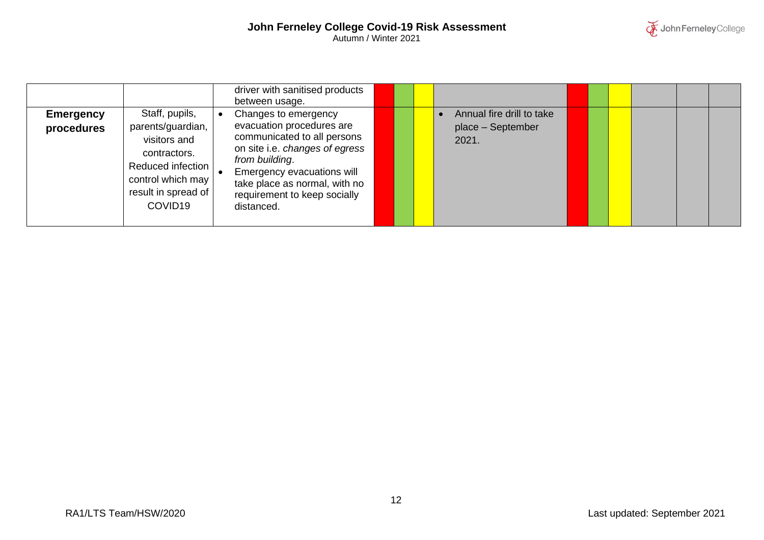

|                                |                                                                                                                                                             | driver with sanitised products<br>between usage.                                                                                                                                                                                                  |  |                                                         |  |  |  |
|--------------------------------|-------------------------------------------------------------------------------------------------------------------------------------------------------------|---------------------------------------------------------------------------------------------------------------------------------------------------------------------------------------------------------------------------------------------------|--|---------------------------------------------------------|--|--|--|
| <b>Emergency</b><br>procedures | Staff, pupils,<br>parents/guardian,<br>visitors and<br>contractors.<br>Reduced infection<br>control which may<br>result in spread of<br>COVID <sub>19</sub> | Changes to emergency<br>evacuation procedures are<br>communicated to all persons<br>on site i.e. changes of egress<br>from building.<br>Emergency evacuations will<br>take place as normal, with no<br>requirement to keep socially<br>distanced. |  | Annual fire drill to take<br>place - September<br>2021. |  |  |  |